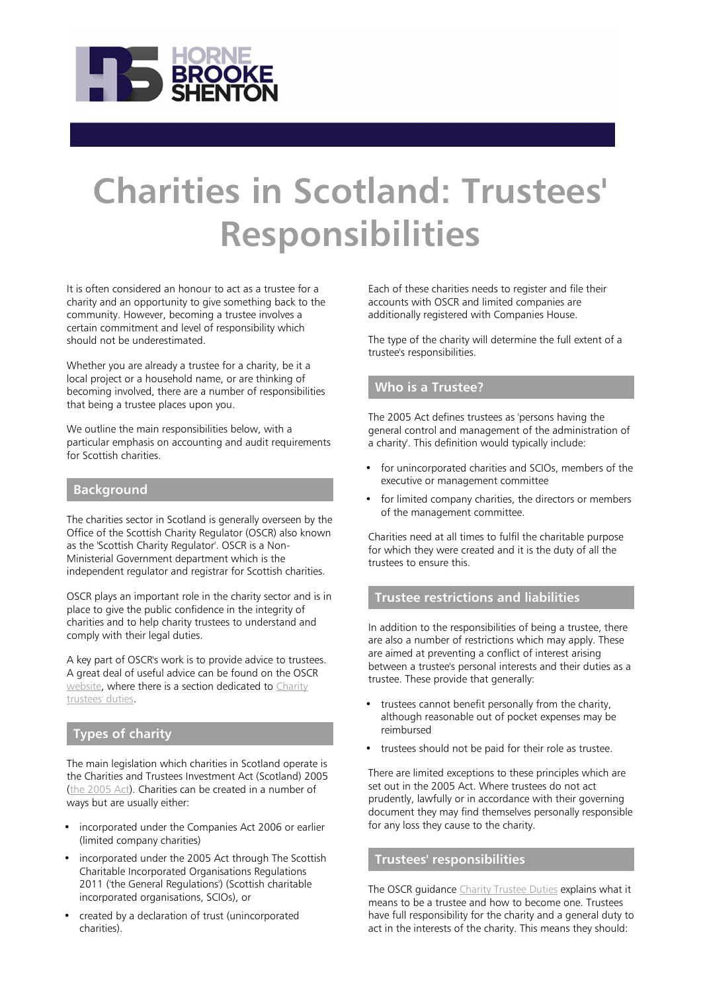

# **Charities in Scotland: Trustees' Responsibilities**

It is often considered an honour to act as a trustee for a charity and an opportunity to give something back to the community. However, becoming a trustee involves a certain commitment and level of responsibility which should not be underestimated.

Whether you are already a trustee for a charity, be it a local project or a household name, or are thinking of becoming involved, there are a number of responsibilities that being a trustee places upon you.

We outline the main responsibilities below, with a particular emphasis on accounting and audit requirements for Scottish charities.

#### **Background**

The charities sector in Scotland is generally overseen by the Office of the Scottish Charity Regulator (OSCR) also known as the 'Scottish Charity Regulator'. OSCR is a Non-Ministerial Government department which is the independent regulator and registrar for Scottish charities.

OSCR plays an important role in the charity sector and is in place to give the public confidence in the integrity of charities and to help charity trustees to understand and comply with their legal duties.

A key part of OSCR's work is to provide advice to trustees. A great deal of useful advice can be found on the OSCR [website,](http://www.oscr.org.uk/charities) where there is a section dedicated to [Charity](http://www.oscr.org.uk/charities/managing-your-charity/trustee-duties) [trustees' duties](http://www.oscr.org.uk/charities/managing-your-charity/trustee-duties).

## **Types of charity**

The main legislation which charities in Scotland operate is the Charities and Trustees Investment Act (Scotland) 2005 [\(the 2005 Act\)](http://www.legislation.gov.uk/asp/2005/10/contents). Charities can be created in a number of ways but are usually either:

- incorporated under the Companies Act 2006 or earlier (limited company charities)
- incorporated under the 2005 Act through The Scottish Charitable Incorporated Organisations Regulations 2011 ('the General Regulations') (Scottish charitable incorporated organisations, SCIOs), or
- created by a declaration of trust (unincorporated charities).

Each of these charities needs to register and file their accounts with OSCR and limited companies are additionally registered with Companies House.

The type of the charity will determine the full extent of a trustee's responsibilities.

## **Who is a Trustee?**

The 2005 Act defines trustees as 'persons having the general control and management of the administration of a charity'. This definition would typically include:

- for unincorporated charities and SCIOs, members of the executive or management committee
- for limited company charities, the directors or members of the management committee.

Charities need at all times to fulfil the charitable purpose for which they were created and it is the duty of all the trustees to ensure this.

#### **Trustee restrictions and liabilities**

In addition to the responsibilities of being a trustee, there are also a number of restrictions which may apply. These are aimed at preventing a conflict of interest arising between a trustee's personal interests and their duties as a trustee. These provide that generally:

- trustees cannot benefit personally from the charity, although reasonable out of pocket expenses may be reimbursed
- trustees should not be paid for their role as trustee.

There are limited exceptions to these principles which are set out in the 2005 Act. Where trustees do not act prudently, lawfully or in accordance with their governing document they may find themselves personally responsible for any loss they cause to the charity.

## **Trustees' responsibilities**

The OSCR guidance [Charity Trustee Duties](https://www.oscr.org.uk/managing-a-charity/trustee-duties) explains what it means to be a trustee and how to become one. Trustees have full responsibility for the charity and a general duty to act in the interests of the charity. This means they should: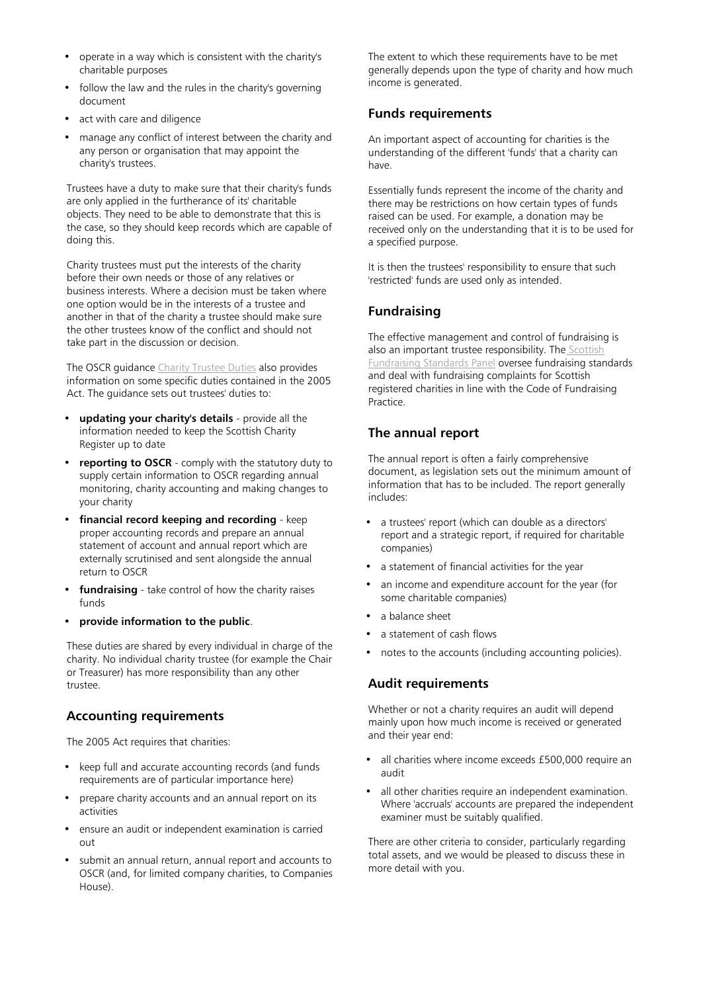- operate in a way which is consistent with the charity's charitable purposes
- follow the law and the rules in the charity's governing document
- act with care and diligence
- manage any conflict of interest between the charity and any person or organisation that may appoint the charity's trustees.

Trustees have a duty to make sure that their charity's funds are only applied in the furtherance of its' charitable objects. They need to be able to demonstrate that this is the case, so they should keep records which are capable of doing this.

Charity trustees must put the interests of the charity before their own needs or those of any relatives or business interests. Where a decision must be taken where one option would be in the interests of a trustee and another in that of the charity a trustee should make sure the other trustees know of the conflict and should not take part in the discussion or decision.

The OSCR guidance [Charity Trustee Duties](https://www.oscr.org.uk/managing-a-charity/trustee-duties) also provides information on some specific duties contained in the 2005 Act. The guidance sets out trustees' duties to:

- **updating your charity's details** provide all the information needed to keep the Scottish Charity Register up to date
- **reporting to OSCR** comply with the statutory duty to supply certain information to OSCR regarding annual monitoring, charity accounting and making changes to your charity
- **financial record keeping and recording** keep proper accounting records and prepare an annual statement of account and annual report which are externally scrutinised and sent alongside the annual return to OSCR
- fundraising take control of how the charity raises funds
- **provide information to the public**.

These duties are shared by every individual in charge of the charity. No individual charity trustee (for example the Chair or Treasurer) has more responsibility than any other trustee.

## **Accounting requirements**

The 2005 Act requires that charities:

- keep full and accurate accounting records (and funds requirements are of particular importance here)
- prepare charity accounts and an annual report on its activities
- ensure an audit or independent examination is carried out
- submit an annual return, annual report and accounts to OSCR (and, for limited company charities, to Companies House).

The extent to which these requirements have to be met generally depends upon the type of charity and how much income is generated.

# **Funds requirements**

An important aspect of accounting for charities is the understanding of the different 'funds' that a charity can have.

Essentially funds represent the income of the charity and there may be restrictions on how certain types of funds raised can be used. For example, a donation may be received only on the understanding that it is to be used for a specified purpose.

It is then the trustees' responsibility to ensure that such 'restricted' funds are used only as intended.

# **Fundraising**

The effective management and control of fundraising is also an important trustee responsibility. The [Scottish](https://www.goodfundraising.scot/) [Fundraising Standards Panel](https://www.goodfundraising.scot/) oversee fundraising standards and deal with fundraising complaints for Scottish registered charities in line with the Code of Fundraising Practice.

# **The annual report**

The annual report is often a fairly comprehensive document, as legislation sets out the minimum amount of information that has to be included. The report generally includes:

- a trustees' report (which can double as a directors' report and a strategic report, if required for charitable companies)
- a statement of financial activities for the year
- an income and expenditure account for the year (for some charitable companies)
- a balance sheet
- a statement of cash flows
- notes to the accounts (including accounting policies).

## **Audit requirements**

Whether or not a charity requires an audit will depend mainly upon how much income is received or generated and their year end:

- all charities where income exceeds £500,000 require an audit
- all other charities require an independent examination. Where 'accruals' accounts are prepared the independent examiner must be suitably qualified.

There are other criteria to consider, particularly regarding total assets, and we would be pleased to discuss these in more detail with you.